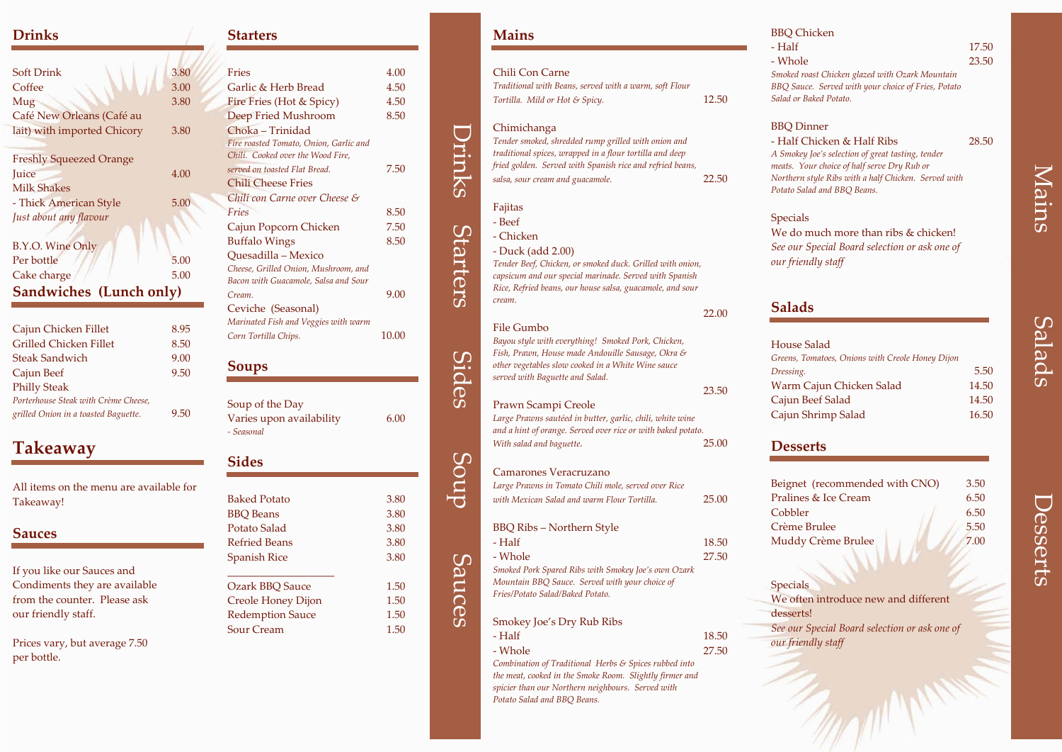Drinks

Starters

Sides

Soup

Sauces

# Mains

Salads



### **Drinks**

| <b>Soft Drink</b>              | 3.80 |
|--------------------------------|------|
| Coffee                         | 3.00 |
| Mug                            | 3.80 |
| Café New Orleans (Café au      |      |
| lait) with imported Chicory    | 3.80 |
| <b>Freshly Squeezed Orange</b> |      |
| Juice                          | 4.00 |
| <b>Milk Shakes</b>             |      |
| - Thick American Style         | 5.00 |
| Just about any flavour         |      |
| B.Y.O. Wine Only               |      |
| Per bottle                     | 5.00 |
| Cake charge                    | 5.00 |
| Sandwiches (Lunch only)        |      |
|                                |      |

| Cajun Chicken Fillet                 | 8.95 |
|--------------------------------------|------|
| <b>Grilled Chicken Fillet</b>        | 8.50 |
| <b>Steak Sandwich</b>                | 9.00 |
| Cajun Beef                           | 9.50 |
| <b>Philly Steak</b>                  |      |
| Porterhouse Steak with Crème Cheese, |      |
| grilled Onion in a toasted Baguette. | 9.50 |

## **Takeaway**

All items on the menu are available for Takeaway!

### **Sauces**

If you like our Sauces and Condiments they are available from the counter. Please ask our friendly staff.

Prices vary, but average 7.50 per bottle.

#### **Starters**

-87

| <b>Fries</b>                           | 4.00  |
|----------------------------------------|-------|
| Garlic & Herb Bread                    | 4.50  |
| Fire Fries (Hot & Spicy)               | 4.50  |
| Deep Fried Mushroom                    | 8.50  |
| Choka - Trinidad                       |       |
| Fire roasted Tomato, Onion, Garlic and |       |
| Chili. Cooked over the Wood Fire,      |       |
| served on toasted Flat Bread.          | 7.50  |
| <b>Chili Cheese Fries</b>              |       |
| Chili con Carne over Cheese &          |       |
| Fries                                  | 8.50  |
| Cajun Popcorn Chicken                  | 7.50  |
| <b>Buffalo Wings</b>                   | 8.50  |
| Quesadilla - Mexico                    |       |
| Cheese, Grilled Onion, Mushroom, and   |       |
| Bacon with Guacamole, Salsa and Sour   |       |
| Cream.                                 | 9.00  |
| Ceviche (Seasonal)                     |       |
| Marinated Fish and Veggies with warm   |       |
| Corn Tortilla Chips.                   | 10.00 |

#### **Soups**

| Soup of the Day          |      |
|--------------------------|------|
| Varies upon availability | 6.00 |
| - Seasonal               |      |

## **Sides**

| <b>Baked Potato</b>       | 3.80 |
|---------------------------|------|
| <b>BBQ</b> Beans          | 3.80 |
| Potato Salad              | 3.80 |
| <b>Refried Beans</b>      | 3.80 |
| <b>Spanish Rice</b>       | 3.80 |
|                           |      |
| <b>Ozark BBQ Sauce</b>    | 1.50 |
| <b>Creole Honey Dijon</b> | 1.50 |
| <b>Redemption Sauce</b>   | 1.50 |
| <b>Sour Cream</b>         | 1.50 |
|                           |      |

 $-$  Half ‐ Whole

#### **Mains**

House Salad $Greens$ , **Dressing** WarmCajun Cajun S

**Specials** We often introduce new and different desserts! *See our Special Board selection or ask one of our friendly staff*

| Chili Con Carne                                                                                                  |       |
|------------------------------------------------------------------------------------------------------------------|-------|
| Traditional with Beans, served with a warm, soft Flour                                                           |       |
| Tortilla. Mild or Hot & Spicy.                                                                                   | 12.50 |
|                                                                                                                  |       |
| Chimichanga<br>Tender smoked, shredded rump grilled with onion and                                               |       |
| traditional spices, wrapped in a flour tortilla and deep                                                         |       |
| fried golden. Served with Spanish rice and refried beans,                                                        |       |
| salsa, sour cream and guacamole.                                                                                 | 22.50 |
|                                                                                                                  |       |
| Fajitas                                                                                                          |       |
| - Beef                                                                                                           |       |
| - Chicken                                                                                                        |       |
|                                                                                                                  |       |
| - Duck (add 2.00)<br>Tender Beef, Chicken, or smoked duck. Grilled with onion,                                   |       |
| capsicum and our special marinade. Served with Spanish                                                           |       |
| Rice, Refried beans, our house salsa, guacamole, and sour                                                        |       |
| cream.                                                                                                           |       |
|                                                                                                                  | 22.00 |
| File Gumbo                                                                                                       |       |
| Bayou style with everything! Smoked Pork, Chicken,                                                               |       |
| Fish, Prawn, House made Andouille Sausage, Okra &                                                                |       |
| other vegetables slow cooked in a White Wine sauce                                                               |       |
| served with Baguette and Salad.                                                                                  |       |
|                                                                                                                  | 23.50 |
| Prawn Scampi Creole                                                                                              |       |
| Large Prawns sautéed in butter, garlic, chili, white wine                                                        |       |
| and a hint of orange. Served over rice or with baked potato.                                                     |       |
| With salad and baguette.                                                                                         | 25.00 |
|                                                                                                                  |       |
| <b>Camarones Veracruzano</b>                                                                                     |       |
| Large Prawns in Tomato Chili mole, served over Rice                                                              |       |
| with Mexican Salad and warm Flour Tortilla.                                                                      | 25.00 |
|                                                                                                                  |       |
| <b>BBQ Ribs - Northern Style</b>                                                                                 |       |
| - Half                                                                                                           | 18.50 |
| - Whole                                                                                                          | 27.50 |
| Smoked Pork Spared Ribs with Smokey Joe's own Ozark                                                              |       |
| Mountain BBQ Sauce. Served with your choice of                                                                   |       |
| Fries/Potato Salad/Baked Potato.                                                                                 |       |
|                                                                                                                  |       |
| Smokey Joe's Dry Rub Ribs                                                                                        |       |
| - Half                                                                                                           | 18.50 |
| - Whole                                                                                                          | 27.50 |
| Combination of Traditional Herbs & Spices rubbed into<br>the meat, cooked in the Smoke Room. Slightly firmer and |       |

*the meat, cooked in the Smoke Room. Slightly firmer and spicier than our Northern neighbours. Served with Potato Salad and BBQ Beans.*

#### BBQ Chicken

#### e 23.50

*Smoked roast Chicken glazed with Ozark Mountain BBQ Sauce. Served with your choice of Fries, Potato Salad or Baked Potato.*

17.50

## BBQ Dinner

‐ Half Chicken & Half Ribs 28.50 *A Smokey Joe's selection of grea<sup>t</sup> tasting, tender meats. Your choice of half serve Dry Rub or Northern style Ribs with <sup>a</sup> half Chicken. Served with Potato Salad and BBQ Beans.*

Specials We do much more than ribs & chicken! *See our Special Board selection or ask one of our friendly staff*

## **Salads**

| se Salad                                    |       |
|---------------------------------------------|-------|
| s, Tomatoes, Onions with Creole Honey Dijon |       |
| ing.                                        | 5.50  |
| m Cajun Chicken Salad                       | 14.50 |
| ın Beef Salad                               | 14.50 |
| ın Shrimp Salad                             | 16.50 |

## **Desserts**

Beigne<sup>t</sup> Praline Cobble CrèmeMudd<sup>,</sup>

| et (recommended with CNO) | 3.50 |
|---------------------------|------|
| ues & Ice Cream           | 6.50 |
| ler                       | 6.50 |
| e Brulee                  | 5.50 |
| ly Crème Brulee           | 7.00 |
|                           |      |